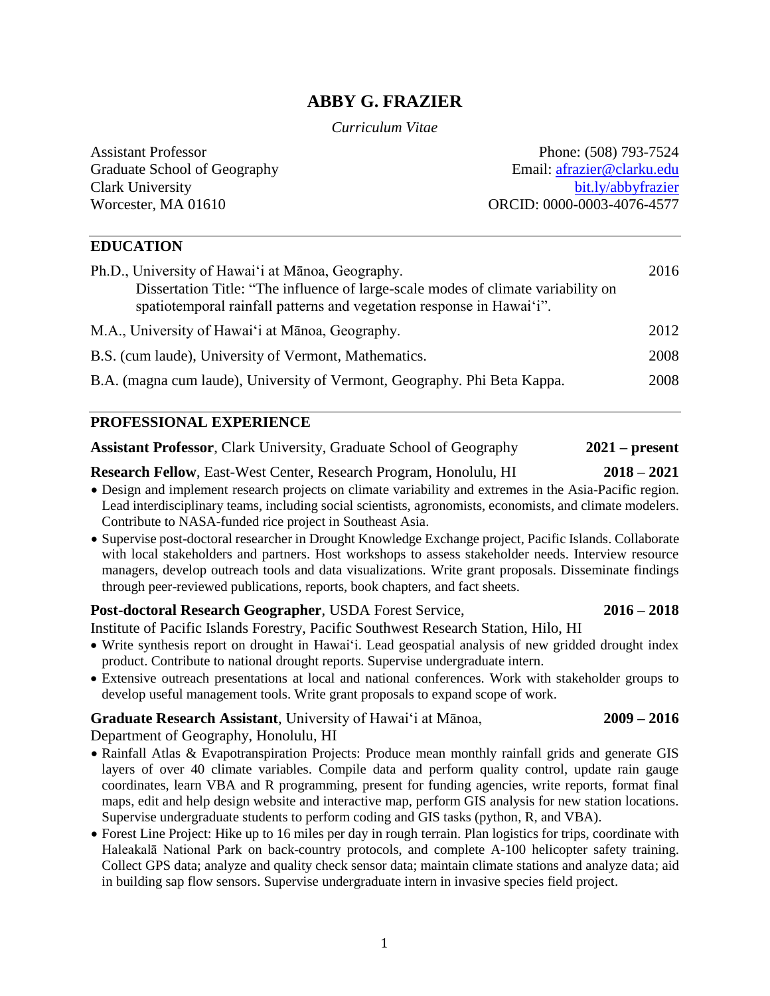# **ABBY G. FRAZIER**

#### *Curriculum Vitae*

Assistant Professor Graduate School of Geography Clark University Worcester, MA 01610

Phone: (508) 793-7524 Email: [afrazier@clarku.edu](mailto:afrazier@clarku.edu) [bit.ly/abbyfrazier](https://sites.google.com/a/hawaii.edu/abby_frazier/) ORCID: 0000-0003-4076-4577

## **EDUCATION**

| Ph.D., University of Hawai'i at Mānoa, Geography.<br>Dissertation Title: "The influence of large-scale modes of climate variability on<br>spatiotemporal rainfall patterns and vegetation response in Hawai'i". | 2016 |
|-----------------------------------------------------------------------------------------------------------------------------------------------------------------------------------------------------------------|------|
| M.A., University of Hawai'i at Mānoa, Geography.                                                                                                                                                                | 2012 |
| B.S. (cum laude), University of Vermont, Mathematics.                                                                                                                                                           | 2008 |
| B.A. (magna cum laude), University of Vermont, Geography. Phi Beta Kappa.                                                                                                                                       | 2008 |

## **PROFESSIONAL EXPERIENCE**

| <b>Assistant Professor, Clark University, Graduate School of Geography</b> |  |  |  | $2021$ – present |
|----------------------------------------------------------------------------|--|--|--|------------------|
|----------------------------------------------------------------------------|--|--|--|------------------|

**Research Fellow**, East-West Center, Research Program, Honolulu, HI **2018 – 2021**

- Design and implement research projects on climate variability and extremes in the Asia-Pacific region. Lead interdisciplinary teams, including social scientists, agronomists, economists, and climate modelers. Contribute to NASA-funded rice project in Southeast Asia.
- Supervise post-doctoral researcher in Drought Knowledge Exchange project, Pacific Islands. Collaborate with local stakeholders and partners. Host workshops to assess stakeholder needs. Interview resource managers, develop outreach tools and data visualizations. Write grant proposals. Disseminate findings through peer-reviewed publications, reports, book chapters, and fact sheets.

### **Post-doctoral Research Geographer**, USDA Forest Service, **2016 – 2018**

Institute of Pacific Islands Forestry, Pacific Southwest Research Station, Hilo, HI

- Write synthesis report on drought in Hawai'i. Lead geospatial analysis of new gridded drought index product. Contribute to national drought reports. Supervise undergraduate intern.
- Extensive outreach presentations at local and national conferences. Work with stakeholder groups to develop useful management tools. Write grant proposals to expand scope of work.

## **Graduate Research Assistant**, University of Hawai'i at Mānoa, **2009 – 2016**

Department of Geography, Honolulu, HI

- Rainfall Atlas & Evapotranspiration Projects: Produce mean monthly rainfall grids and generate GIS layers of over 40 climate variables. Compile data and perform quality control, update rain gauge coordinates, learn VBA and R programming, present for funding agencies, write reports, format final maps, edit and help design website and interactive map, perform GIS analysis for new station locations. Supervise undergraduate students to perform coding and GIS tasks (python, R, and VBA).
- Forest Line Project: Hike up to 16 miles per day in rough terrain. Plan logistics for trips, coordinate with Haleakalā National Park on back-country protocols, and complete A-100 helicopter safety training. Collect GPS data; analyze and quality check sensor data; maintain climate stations and analyze data; aid in building sap flow sensors. Supervise undergraduate intern in invasive species field project.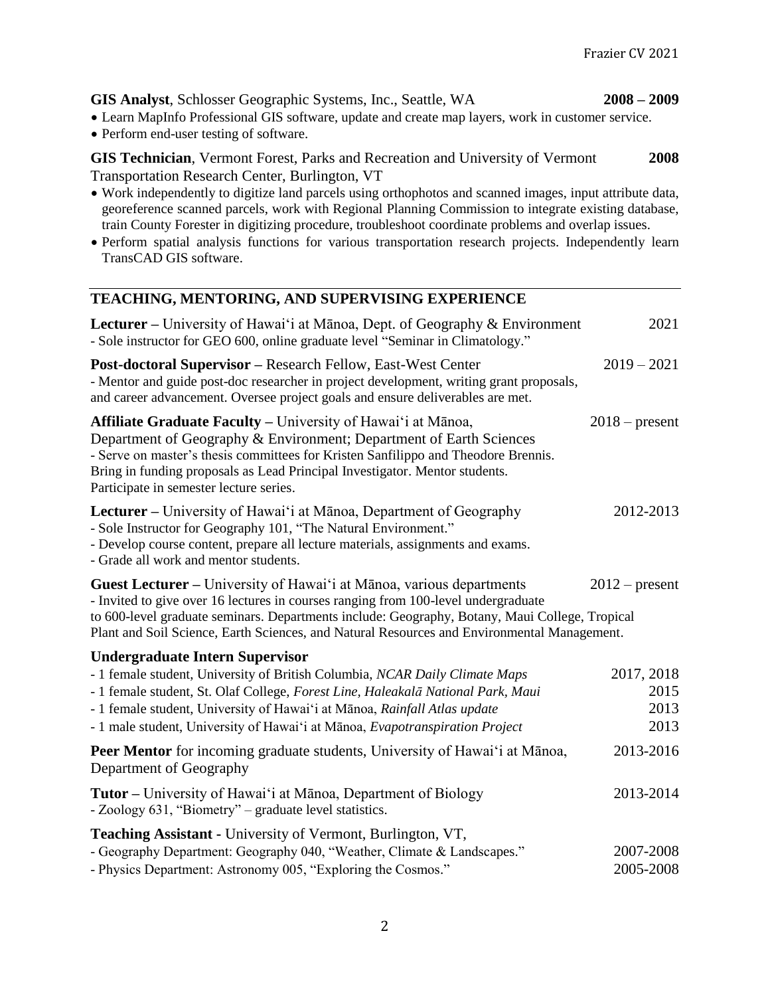**GIS Analyst**, Schlosser Geographic Systems, Inc., Seattle, WA **2008 – 2009**

- Learn MapInfo Professional GIS software, update and create map layers, work in customer service.
- Perform end-user testing of software.

**GIS Technician**, Vermont Forest, Parks and Recreation and University of Vermont **2008** Transportation Research Center, Burlington, VT

- Work independently to digitize land parcels using orthophotos and scanned images, input attribute data, georeference scanned parcels, work with Regional Planning Commission to integrate existing database, train County Forester in digitizing procedure, troubleshoot coordinate problems and overlap issues.
- Perform spatial analysis functions for various transportation research projects. Independently learn TransCAD GIS software.

# **TEACHING, MENTORING, AND SUPERVISING EXPERIENCE**

| Lecturer - University of Hawai'i at Mānoa, Dept. of Geography & Environment<br>- Sole instructor for GEO 600, online graduate level "Seminar in Climatology."                                                                                                                                                                                               | 2021             |
|-------------------------------------------------------------------------------------------------------------------------------------------------------------------------------------------------------------------------------------------------------------------------------------------------------------------------------------------------------------|------------------|
| Post-doctoral Supervisor - Research Fellow, East-West Center<br>- Mentor and guide post-doc researcher in project development, writing grant proposals,<br>and career advancement. Oversee project goals and ensure deliverables are met.                                                                                                                   | $2019 - 2021$    |
| Affiliate Graduate Faculty - University of Hawai'i at Mānoa,<br>Department of Geography & Environment; Department of Earth Sciences<br>- Serve on master's thesis committees for Kristen Sanfilippo and Theodore Brennis.<br>Bring in funding proposals as Lead Principal Investigator. Mentor students.<br>Participate in semester lecture series.         | $2018$ – present |
| Lecturer – University of Hawai'i at Mānoa, Department of Geography<br>- Sole Instructor for Geography 101, "The Natural Environment."<br>- Develop course content, prepare all lecture materials, assignments and exams.<br>- Grade all work and mentor students.                                                                                           | 2012-2013        |
| Guest Lecturer - University of Hawai'i at Mānoa, various departments<br>- Invited to give over 16 lectures in courses ranging from 100-level undergraduate<br>to 600-level graduate seminars. Departments include: Geography, Botany, Maui College, Tropical<br>Plant and Soil Science, Earth Sciences, and Natural Resources and Environmental Management. | $2012$ – present |
| <b>Undergraduate Intern Supervisor</b>                                                                                                                                                                                                                                                                                                                      |                  |
| - 1 female student, University of British Columbia, NCAR Daily Climate Maps                                                                                                                                                                                                                                                                                 | 2017, 2018       |
| - 1 female student, St. Olaf College, Forest Line, Haleakalā National Park, Maui                                                                                                                                                                                                                                                                            | 2015             |
| - 1 female student, University of Hawai'i at Mānoa, Rainfall Atlas update                                                                                                                                                                                                                                                                                   | 2013             |
| - 1 male student, University of Hawai'i at Mānoa, Evapotranspiration Project                                                                                                                                                                                                                                                                                | 2013             |
| Peer Mentor for incoming graduate students, University of Hawai'i at Mānoa,<br>Department of Geography                                                                                                                                                                                                                                                      | 2013-2016        |
| <b>Tutor</b> – University of Hawai'i at Mānoa, Department of Biology<br>- Zoology 631, "Biometry" – graduate level statistics.                                                                                                                                                                                                                              | 2013-2014        |
| <b>Teaching Assistant - University of Vermont, Burlington, VT,</b>                                                                                                                                                                                                                                                                                          |                  |
| - Geography Department: Geography 040, "Weather, Climate & Landscapes."                                                                                                                                                                                                                                                                                     | 2007-2008        |
| - Physics Department: Astronomy 005, "Exploring the Cosmos."                                                                                                                                                                                                                                                                                                | 2005-2008        |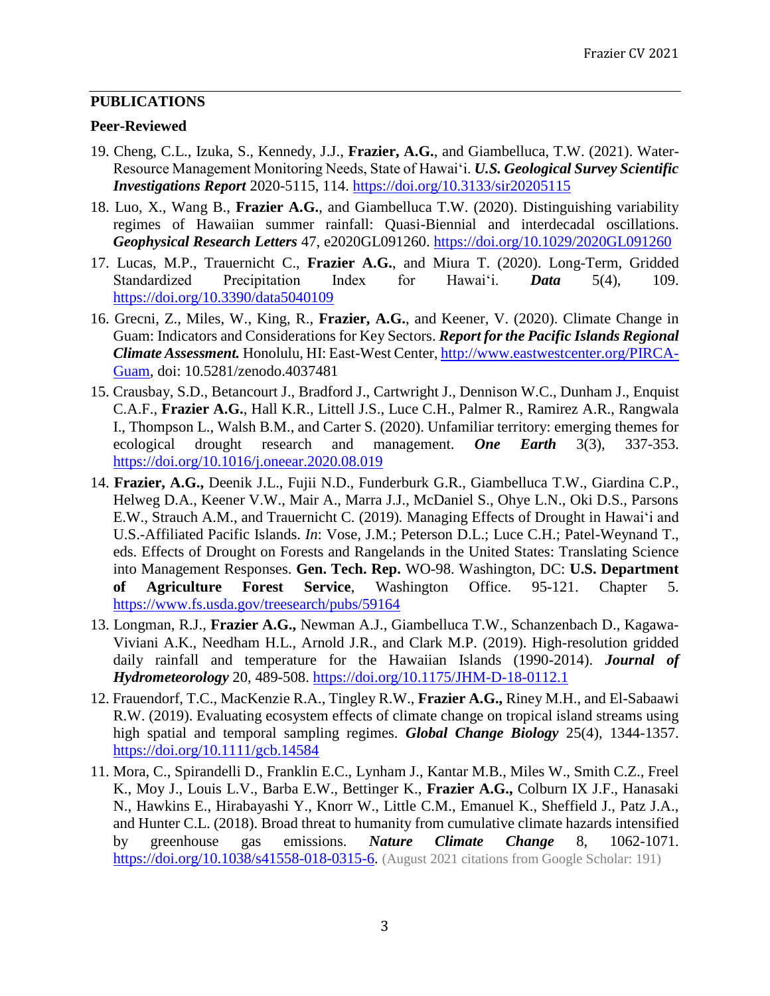# **PUBLICATIONS**

## **Peer-Reviewed**

- 19. Cheng, C.L., Izuka, S., Kennedy, J.J., **Frazier, A.G.**, and Giambelluca, T.W. (2021). Water-Resource Management Monitoring Needs, State of Hawai'i. *U.S. Geological Survey Scientific Investigations Report* 2020-5115, 114. <https://doi.org/10.3133/sir20205115>
- 18. Luo, X., Wang B., **Frazier A.G.**, and Giambelluca T.W. (2020). Distinguishing variability regimes of Hawaiian summer rainfall: Quasi-Biennial and interdecadal oscillations. *Geophysical Research Letters* 47, e2020GL091260. <https://doi.org/10.1029/2020GL091260>
- 17. Lucas, M.P., Trauernicht C., **Frazier A.G.**, and Miura T. (2020). Long-Term, Gridded Standardized Precipitation Index for Hawai'i. *Data* 5(4), 109. <https://doi.org/10.3390/data5040109>
- 16. Grecni, Z., Miles, W., King, R., **Frazier, A.G.**, and Keener, V. (2020). Climate Change in Guam: Indicators and Considerations for Key Sectors. *Report for the Pacific Islands Regional Climate Assessment.* Honolulu, HI: East-West Center[, http://www.eastwestcenter.org/PIRCA-](http://www.eastwestcenter.org/PIRCA-Guam)[Guam,](http://www.eastwestcenter.org/PIRCA-Guam) doi: 10.5281/zenodo.4037481
- 15. Crausbay, S.D., Betancourt J., Bradford J., Cartwright J., Dennison W.C., Dunham J., Enquist C.A.F., **Frazier A.G.**, Hall K.R., Littell J.S., Luce C.H., Palmer R., Ramirez A.R., Rangwala I., Thompson L., Walsh B.M., and Carter S. (2020). Unfamiliar territory: emerging themes for ecological drought research and management. *One Earth* 3(3), 337-353. <https://doi.org/10.1016/j.oneear.2020.08.019>
- 14. **Frazier, A.G.,** Deenik J.L., Fujii N.D., Funderburk G.R., Giambelluca T.W., Giardina C.P., Helweg D.A., Keener V.W., Mair A., Marra J.J., McDaniel S., Ohye L.N., Oki D.S., Parsons E.W., Strauch A.M., and Trauernicht C. (2019)*.* Managing Effects of Drought in Hawai'i and U.S.-Affiliated Pacific Islands. *In*: Vose, J.M.; Peterson D.L.; Luce C.H.; Patel-Weynand T., eds. Effects of Drought on Forests and Rangelands in the United States: Translating Science into Management Responses. **Gen. Tech. Rep.** WO-98. Washington, DC: **U.S. Department of Agriculture Forest Service**, Washington Office. 95-121. Chapter 5. <https://www.fs.usda.gov/treesearch/pubs/59164>
- 13. Longman, R.J., **Frazier A.G.,** Newman A.J., Giambelluca T.W., Schanzenbach D., Kagawa-Viviani A.K., Needham H.L., Arnold J.R., and Clark M.P. (2019). High-resolution gridded daily rainfall and temperature for the Hawaiian Islands (1990-2014). *Journal of Hydrometeorology* 20, 489-508. <https://doi.org/10.1175/JHM-D-18-0112.1>
- 12. Frauendorf, T.C., MacKenzie R.A., Tingley R.W., **Frazier A.G.,** Riney M.H., and El-Sabaawi R.W. (2019). Evaluating ecosystem effects of climate change on tropical island streams using high spatial and temporal sampling regimes. *Global Change Biology* 25(4), 1344-1357. <https://doi.org/10.1111/gcb.14584>
- 11. Mora, C., Spirandelli D., Franklin E.C., Lynham J., Kantar M.B., Miles W., Smith C.Z., Freel K., Moy J., Louis L.V., Barba E.W., Bettinger K., **Frazier A.G.,** Colburn IX J.F., Hanasaki N., Hawkins E., Hirabayashi Y., Knorr W., Little C.M., Emanuel K., Sheffield J., Patz J.A., and Hunter C.L. (2018). Broad threat to humanity from cumulative climate hazards intensified by greenhouse gas emissions. *Nature Climate Change* 8, 1062-1071. [https://doi.org/10.1038/s41558-018-0315-6.](https://doi.org/10.1038/s41558-018-0315-6) (August 2021 citations from Google Scholar: 191)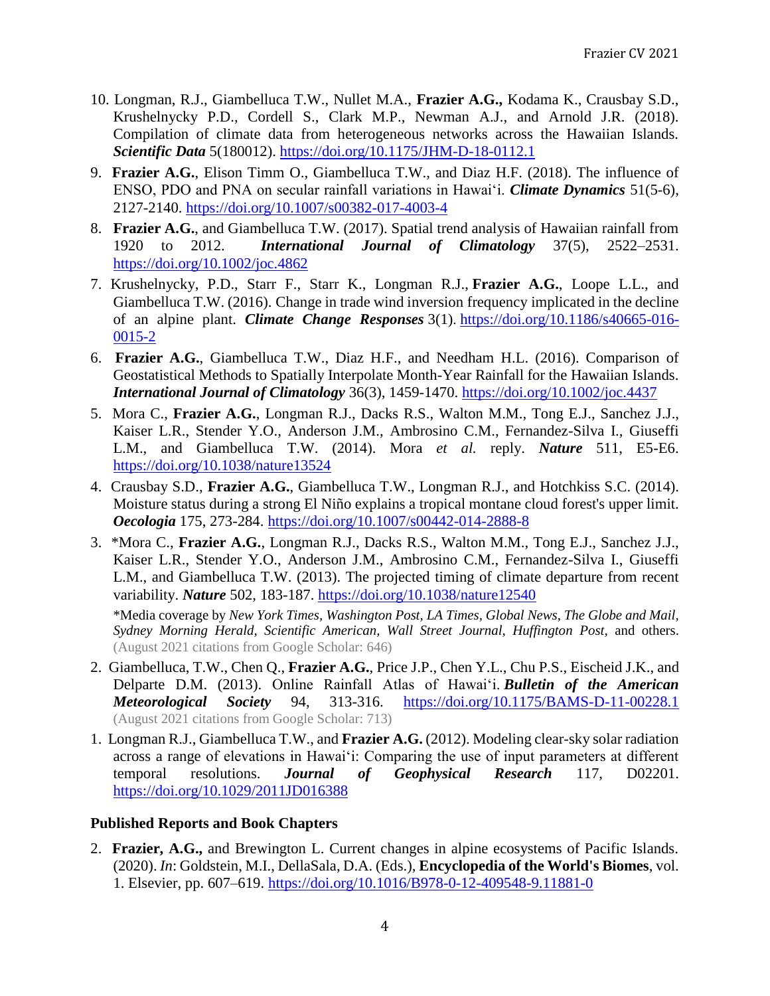- 10. Longman, R.J., Giambelluca T.W., Nullet M.A., **Frazier A.G.,** Kodama K., Crausbay S.D., Krushelnycky P.D., Cordell S., Clark M.P., Newman A.J., and Arnold J.R. (2018). Compilation of climate data from heterogeneous networks across the Hawaiian Islands. *Scientific Data* 5(180012). <https://doi.org/10.1175/JHM-D-18-0112.1>
- 9. **Frazier A.G.**, Elison Timm O., Giambelluca T.W., and Diaz H.F. (2018). The influence of ENSO, PDO and PNA on secular rainfall variations in Hawai'i. *Climate Dynamics* 51(5-6), 2127-2140. <https://doi.org/10.1007/s00382-017-4003-4>
- 8. **Frazier A.G.**, and Giambelluca T.W. (2017). Spatial trend analysis of Hawaiian rainfall from 1920 to 2012. *International Journal of Climatology* 37(5), 2522–2531. <https://doi.org/10.1002/joc.4862>
- 7. Krushelnycky, P.D., Starr F., Starr K., Longman R.J., **Frazier A.G.**, Loope L.L., and Giambelluca T.W. (2016). Change in trade wind inversion frequency implicated in the decline of an alpine plant. *Climate Change Responses* 3(1). [https://doi.org/10.1186/s40665-016-](https://doi.org/10.1186/s40665-016-0015-2) [0015-2](https://doi.org/10.1186/s40665-016-0015-2)
- 6. **Frazier A.G.**, Giambelluca T.W., Diaz H.F., and Needham H.L. (2016). Comparison of Geostatistical Methods to Spatially Interpolate Month-Year Rainfall for the Hawaiian Islands. *International Journal of Climatology* 36(3), 1459-1470. <https://doi.org/10.1002/joc.4437>
- 5. Mora C., **Frazier A.G.**, Longman R.J., Dacks R.S., Walton M.M., Tong E.J., Sanchez J.J., Kaiser L.R., Stender Y.O., Anderson J.M., Ambrosino C.M., Fernandez-Silva I., Giuseffi L.M., and Giambelluca T.W. (2014). Mora *et al.* reply. *Nature* 511, E5-E6. <https://doi.org/10.1038/nature13524>
- 4. Crausbay S.D., **Frazier A.G.**, Giambelluca T.W., Longman R.J., and Hotchkiss S.C. (2014). Moisture status during a strong El Niño explains a tropical montane cloud forest's upper limit. *Oecologia* 175, 273-284. <https://doi.org/10.1007/s00442-014-2888-8>
- 3. \*Mora C., **Frazier A.G.**, Longman R.J., Dacks R.S., Walton M.M., Tong E.J., Sanchez J.J., Kaiser L.R., Stender Y.O., Anderson J.M., Ambrosino C.M., Fernandez-Silva I., Giuseffi L.M., and Giambelluca T.W. (2013). The projected timing of climate departure from recent variability. *Nature* 502, 183-187. <https://doi.org/10.1038/nature12540>

\*Media coverage by *New York Times, Washington Post, LA Times, Global News, The Globe and Mail, Sydney Morning Herald, Scientific American, Wall Street Journal, Huffington Post,* and others. (August 2021 citations from Google Scholar: 646)

- 2. Giambelluca, T.W., Chen Q., **Frazier A.G.**, Price J.P., Chen Y.L., Chu P.S., Eischeid J.K., and Delparte D.M. (2013). Online Rainfall Atlas of Hawai'i. *Bulletin of the American Meteorological Society* 94, 313-316. <https://doi.org/10.1175/BAMS-D-11-00228.1> (August 2021 citations from Google Scholar: 713)
- 1. Longman R.J., Giambelluca T.W., and **Frazier A.G.** (2012). Modeling clear-sky solar radiation across a range of elevations in Hawai'i: Comparing the use of input parameters at different temporal resolutions. *Journal of Geophysical Research* 117, D02201. <https://doi.org/10.1029/2011JD016388>

# **Published Reports and Book Chapters**

2. **Frazier, A.G.,** and Brewington L. Current changes in alpine ecosystems of Pacific Islands. (2020). *In*: Goldstein, M.I., DellaSala, D.A. (Eds.), **Encyclopedia of the World's Biomes**, vol. 1. Elsevier, pp. 607–619. <https://doi.org/10.1016/B978-0-12-409548-9.11881-0>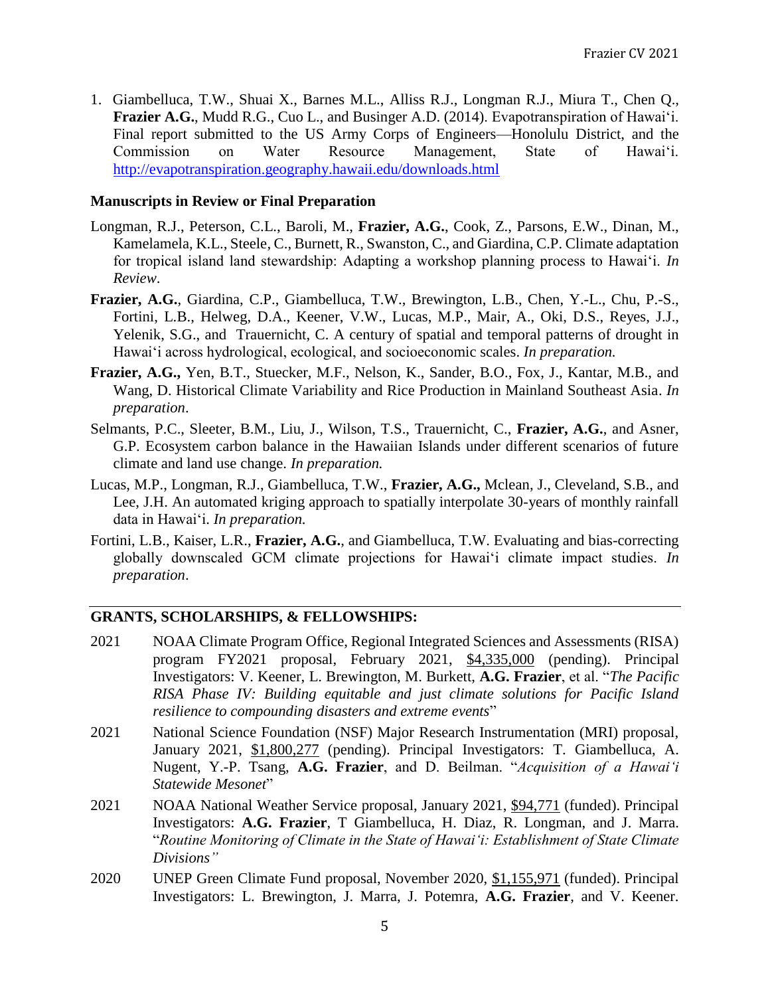1. Giambelluca, T.W., Shuai X., Barnes M.L., Alliss R.J., Longman R.J., Miura T., Chen Q., **Frazier A.G.**, Mudd R.G., Cuo L., and Businger A.D. (2014). Evapotranspiration of Hawai'i. Final report submitted to the US Army Corps of Engineers—Honolulu District, and the Commission on Water Resource Management, State of Hawai'i. <http://evapotranspiration.geography.hawaii.edu/downloads.html>

## **Manuscripts in Review or Final Preparation**

- Longman, R.J., Peterson, C.L., Baroli, M., **Frazier, A.G.**, Cook, Z., Parsons, E.W., Dinan, M., Kamelamela, K.L., Steele, C., Burnett, R., Swanston, C., and Giardina, C.P. Climate adaptation for tropical island land stewardship: Adapting a workshop planning process to Hawai'i. *In Review*.
- **Frazier, A.G.**, Giardina, C.P., Giambelluca, T.W., Brewington, L.B., Chen, Y.-L., Chu, P.-S., Fortini, L.B., Helweg, D.A., Keener, V.W., Lucas, M.P., Mair, A., Oki, D.S., Reyes, J.J., Yelenik, S.G., and Trauernicht, C. A century of spatial and temporal patterns of drought in Hawai'i across hydrological, ecological, and socioeconomic scales. *In preparation.*
- **Frazier, A.G.,** Yen, B.T., Stuecker, M.F., Nelson, K., Sander, B.O., Fox, J., Kantar, M.B., and Wang, D. Historical Climate Variability and Rice Production in Mainland Southeast Asia. *In preparation*.
- Selmants, P.C., Sleeter, B.M., Liu, J., Wilson, T.S., Trauernicht, C., **Frazier, A.G.**, and Asner, G.P. Ecosystem carbon balance in the Hawaiian Islands under different scenarios of future climate and land use change. *In preparation.*
- Lucas, M.P., Longman, R.J., Giambelluca, T.W., **Frazier, A.G.,** Mclean, J., Cleveland, S.B., and Lee, J.H. An automated kriging approach to spatially interpolate 30-years of monthly rainfall data in Hawai'i. *In preparation.*
- Fortini, L.B., Kaiser, L.R., **Frazier, A.G.**, and Giambelluca, T.W. Evaluating and bias-correcting globally downscaled GCM climate projections for Hawaiʻi climate impact studies. *In preparation*.

# **GRANTS, SCHOLARSHIPS, & FELLOWSHIPS:**

- 2021 NOAA Climate Program Office, Regional Integrated Sciences and Assessments (RISA) program FY2021 proposal, February 2021, \$4,335,000 (pending). Principal Investigators: V. Keener, L. Brewington, M. Burkett, **A.G. Frazier**, et al. "*The Pacific RISA Phase IV: Building equitable and just climate solutions for Pacific Island resilience to compounding disasters and extreme events*"
- 2021 National Science Foundation (NSF) Major Research Instrumentation (MRI) proposal, January 2021, \$1,800,277 (pending). Principal Investigators: T. Giambelluca, A. Nugent, Y.-P. Tsang, **A.G. Frazier**, and D. Beilman. "*Acquisition of a Hawai'i Statewide Mesonet*"
- 2021 NOAA National Weather Service proposal, January 2021, \$94,771 (funded). Principal Investigators: **A.G. Frazier**, T Giambelluca, H. Diaz, R. Longman, and J. Marra. "*Routine Monitoring of Climate in the State of Hawai'i: Establishment of State Climate Divisions"*
- 2020 UNEP Green Climate Fund proposal, November 2020, \$1,155,971 (funded). Principal Investigators: L. Brewington, J. Marra, J. Potemra, **A.G. Frazier**, and V. Keener.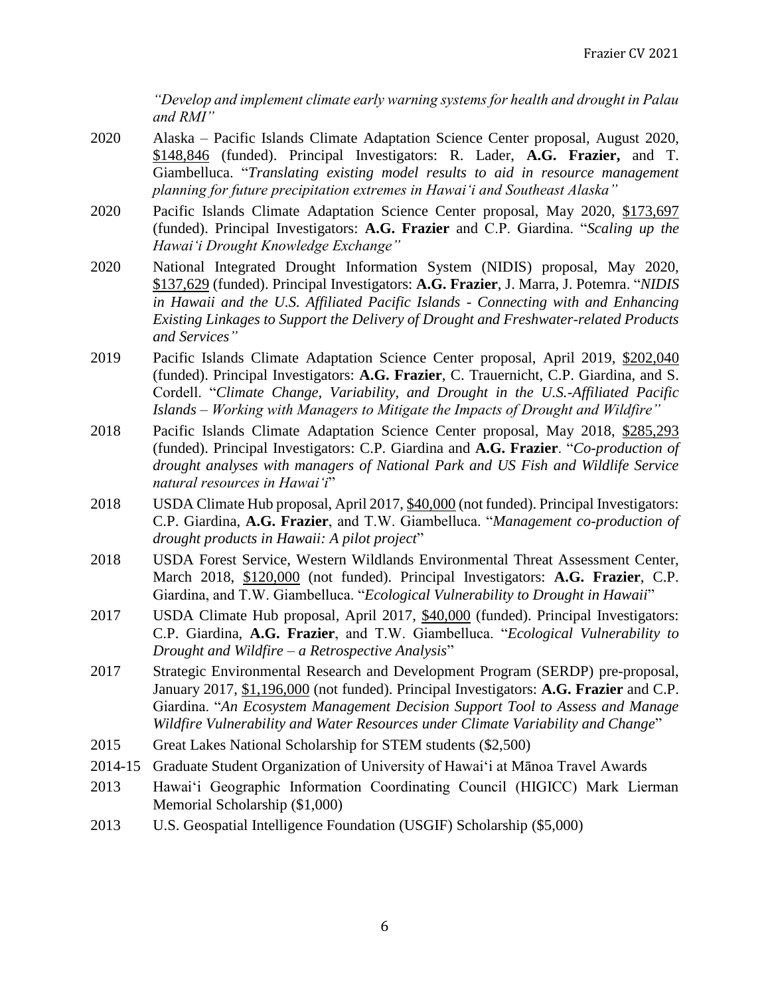*"Develop and implement climate early warning systems for health and drought in Palau and RMI"*

- 2020 Alaska Pacific Islands Climate Adaptation Science Center proposal, August 2020, \$148,846 (funded). Principal Investigators: R. Lader, **A.G. Frazier,** and T. Giambelluca. "*Translating existing model results to aid in resource management planning for future precipitation extremes in Hawai'i and Southeast Alaska"*
- 2020 Pacific Islands Climate Adaptation Science Center proposal, May 2020, \$173,697 (funded). Principal Investigators: **A.G. Frazier** and C.P. Giardina. "*Scaling up the Hawai'i Drought Knowledge Exchange"*
- 2020 National Integrated Drought Information System (NIDIS) proposal, May 2020, \$137,629 (funded). Principal Investigators: **A.G. Frazier**, J. Marra, J. Potemra. "*NIDIS in Hawaii and the U.S. Affiliated Pacific Islands - Connecting with and Enhancing Existing Linkages to Support the Delivery of Drought and Freshwater-related Products and Services"*
- 2019 Pacific Islands Climate Adaptation Science Center proposal, April 2019, \$202,040 (funded). Principal Investigators: **A.G. Frazier**, C. Trauernicht, C.P. Giardina, and S. Cordell. "*Climate Change, Variability, and Drought in the U.S.-Affiliated Pacific Islands – Working with Managers to Mitigate the Impacts of Drought and Wildfire"*
- 2018 Pacific Islands Climate Adaptation Science Center proposal, May 2018, \$285,293 (funded). Principal Investigators: C.P. Giardina and **A.G. Frazier**. "*Co-production of drought analyses with managers of National Park and US Fish and Wildlife Service natural resources in Hawai'i*"
- 2018 USDA Climate Hub proposal, April 2017, \$40,000 (not funded). Principal Investigators: C.P. Giardina, **A.G. Frazier**, and T.W. Giambelluca. "*Management co-production of drought products in Hawaii: A pilot project*"
- 2018 USDA Forest Service, Western Wildlands Environmental Threat Assessment Center, March 2018, \$120,000 (not funded). Principal Investigators: **A.G. Frazier**, C.P. Giardina, and T.W. Giambelluca. "*Ecological Vulnerability to Drought in Hawaii*"
- 2017 USDA Climate Hub proposal, April 2017, \$40,000 (funded). Principal Investigators: C.P. Giardina, **A.G. Frazier**, and T.W. Giambelluca. "*Ecological Vulnerability to Drought and Wildfire – a Retrospective Analysis*"
- 2017 Strategic Environmental Research and Development Program (SERDP) pre-proposal, January 2017, \$1,196,000 (not funded). Principal Investigators: **A.G. Frazier** and C.P. Giardina. "*An Ecosystem Management Decision Support Tool to Assess and Manage Wildfire Vulnerability and Water Resources under Climate Variability and Change*"
- 2015 Great Lakes National Scholarship for STEM students (\$2,500)
- 2014-15 Graduate Student Organization of University of Hawai'i at Mānoa Travel Awards
- 2013 Hawai'i Geographic Information Coordinating Council (HIGICC) Mark Lierman Memorial Scholarship (\$1,000)
- 2013 U.S. Geospatial Intelligence Foundation (USGIF) Scholarship (\$5,000)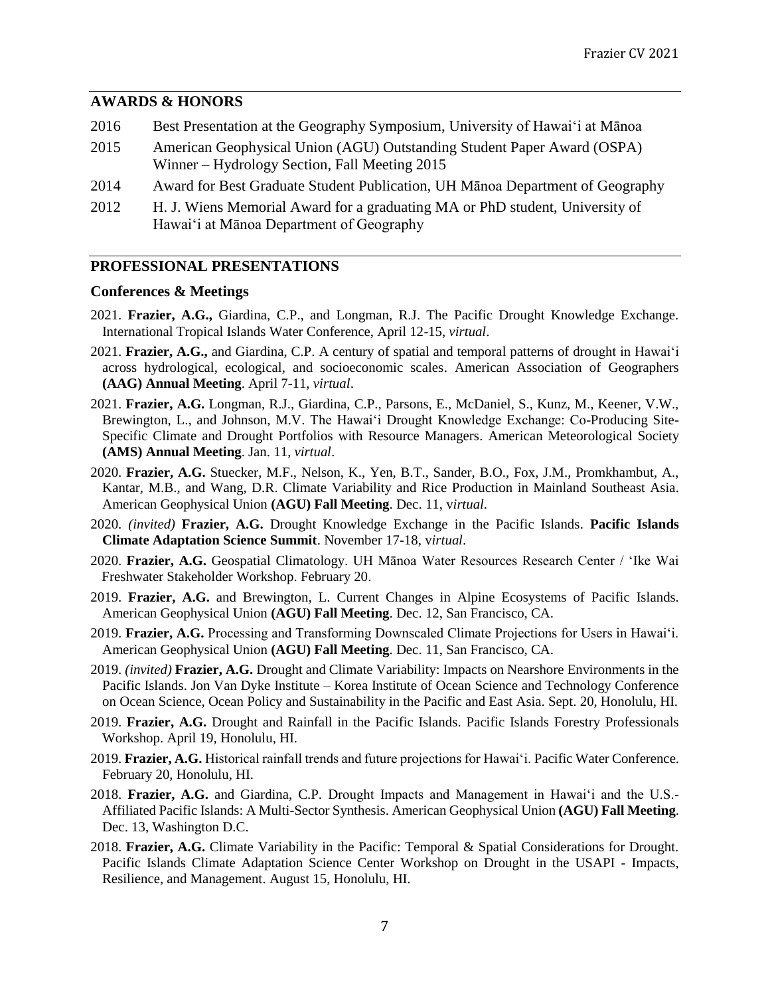### **AWARDS & HONORS**

- 2016 Best Presentation at the Geography Symposium, University of Hawai'i at Mānoa 2015 American Geophysical Union (AGU) Outstanding Student Paper Award (OSPA) Winner – Hydrology Section, Fall Meeting 2015
- 2014 Award for Best Graduate Student Publication, UH Mānoa Department of Geography
- 2012 H. J. Wiens Memorial Award for a graduating MA or PhD student, University of Hawai'i at Mānoa Department of Geography

## **PROFESSIONAL PRESENTATIONS**

## **Conferences & Meetings**

- 2021. **Frazier, A.G.,** Giardina, C.P., and Longman, R.J. The Pacific Drought Knowledge Exchange. International Tropical Islands Water Conference, April 12-15, *virtual*.
- 2021. **Frazier, A.G.,** and Giardina, C.P. A century of spatial and temporal patterns of drought in Hawai'i across hydrological, ecological, and socioeconomic scales. American Association of Geographers **(AAG) Annual Meeting**. April 7-11, *virtual*.
- 2021. **Frazier, A.G.** Longman, R.J., Giardina, C.P., Parsons, E., McDaniel, S., Kunz, M., Keener, V.W., Brewington, L., and Johnson, M.V. The Hawai'i Drought Knowledge Exchange: Co-Producing Site-Specific Climate and Drought Portfolios with Resource Managers. American Meteorological Society **(AMS) Annual Meeting**. Jan. 11, *virtual*.
- 2020. **Frazier, A.G.** Stuecker, M.F., Nelson, K., Yen, B.T., Sander, B.O., Fox, J.M., Promkhambut, A., Kantar, M.B., and Wang, D.R. Climate Variability and Rice Production in Mainland Southeast Asia. American Geophysical Union **(AGU) Fall Meeting**. Dec. 11, v*irtual*.
- 2020. *(invited)* **Frazier, A.G.** Drought Knowledge Exchange in the Pacific Islands. **Pacific Islands Climate Adaptation Science Summit**. November 17-18, v*irtual*.
- 2020. **Frazier, A.G.** Geospatial Climatology. UH Mānoa Water Resources Research Center / 'Ike Wai Freshwater Stakeholder Workshop. February 20.
- 2019. **Frazier, A.G.** and Brewington, L. Current Changes in Alpine Ecosystems of Pacific Islands. American Geophysical Union **(AGU) Fall Meeting**. Dec. 12, San Francisco, CA.
- 2019. **Frazier, A.G.** Processing and Transforming Downscaled Climate Projections for Users in Hawai'i. American Geophysical Union **(AGU) Fall Meeting**. Dec. 11, San Francisco, CA.
- 2019. *(invited)* **Frazier, A.G.** Drought and Climate Variability: Impacts on Nearshore Environments in the Pacific Islands. Jon Van Dyke Institute – Korea Institute of Ocean Science and Technology Conference on Ocean Science, Ocean Policy and Sustainability in the Pacific and East Asia. Sept. 20, Honolulu, HI.
- 2019. **Frazier, A.G.** Drought and Rainfall in the Pacific Islands. Pacific Islands Forestry Professionals Workshop. April 19, Honolulu, HI.
- 2019. **Frazier, A.G.** Historical rainfall trends and future projections for Hawai'i. Pacific Water Conference. February 20, Honolulu, HI.
- 2018. **Frazier, A.G.** and Giardina, C.P. Drought Impacts and Management in Hawai'i and the U.S.- Affiliated Pacific Islands: A Multi-Sector Synthesis. American Geophysical Union **(AGU) Fall Meeting**. Dec. 13, Washington D.C.
- 2018. **Frazier, A.G.** Climate Variability in the Pacific: Temporal & Spatial Considerations for Drought. Pacific Islands Climate Adaptation Science Center Workshop on Drought in the USAPI - Impacts, Resilience, and Management. August 15, Honolulu, HI.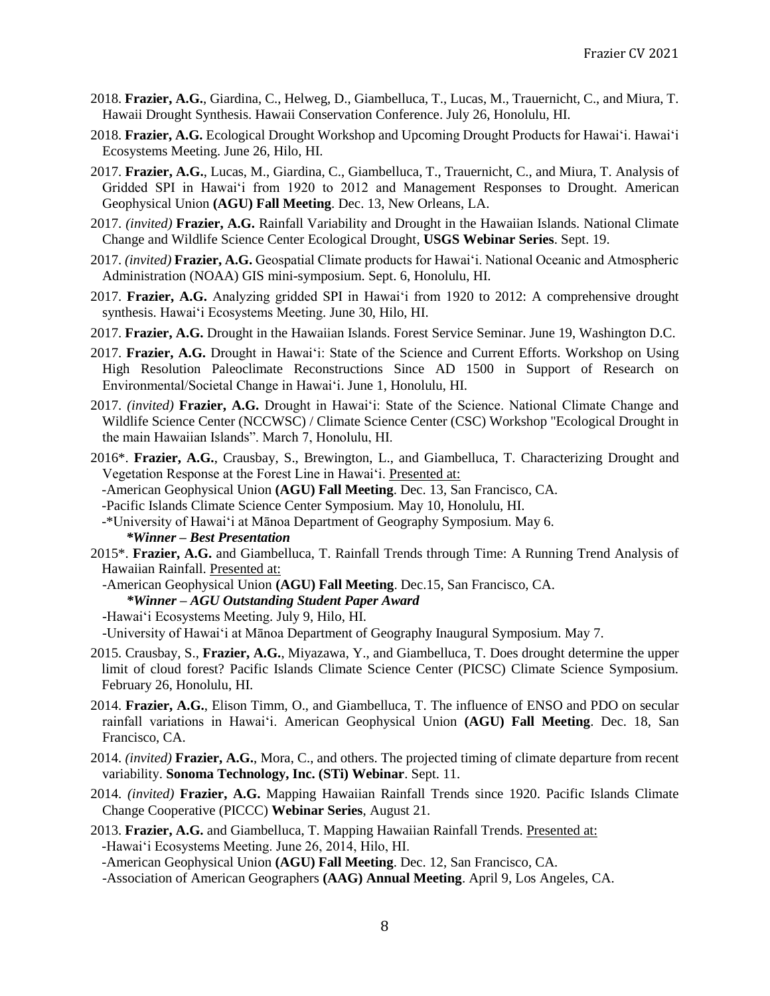- 2018. **Frazier, A.G.**, Giardina, C., Helweg, D., Giambelluca, T., Lucas, M., Trauernicht, C., and Miura, T. Hawaii Drought Synthesis. Hawaii Conservation Conference. July 26, Honolulu, HI.
- 2018. **Frazier, A.G.** Ecological Drought Workshop and Upcoming Drought Products for Hawai'i. Hawai'i Ecosystems Meeting. June 26, Hilo, HI.
- 2017. **Frazier, A.G.**, Lucas, M., Giardina, C., Giambelluca, T., Trauernicht, C., and Miura, T. Analysis of Gridded SPI in Hawai'i from 1920 to 2012 and Management Responses to Drought. American Geophysical Union **(AGU) Fall Meeting**. Dec. 13, New Orleans, LA.
- 2017. *(invited)* **Frazier, A.G.** Rainfall Variability and Drought in the Hawaiian Islands. National Climate Change and Wildlife Science Center Ecological Drought, **USGS Webinar Series**. Sept. 19.
- 2017. *(invited)* **Frazier, A.G.** Geospatial Climate products for Hawai'i. National Oceanic and Atmospheric Administration (NOAA) GIS mini-symposium. Sept. 6, Honolulu, HI.
- 2017. **Frazier, A.G.** Analyzing gridded SPI in Hawai'i from 1920 to 2012: A comprehensive drought synthesis. Hawai'i Ecosystems Meeting. June 30, Hilo, HI.
- 2017. **Frazier, A.G.** Drought in the Hawaiian Islands. Forest Service Seminar. June 19, Washington D.C.
- 2017. **Frazier, A.G.** Drought in Hawai'i: State of the Science and Current Efforts. Workshop on Using High Resolution Paleoclimate Reconstructions Since AD 1500 in Support of Research on Environmental/Societal Change in Hawai'i. June 1, Honolulu, HI.
- 2017. *(invited)* **Frazier, A.G.** Drought in Hawai'i: State of the Science. National Climate Change and Wildlife Science Center (NCCWSC) / Climate Science Center (CSC) Workshop "Ecological Drought in the main Hawaiian Islands". March 7, Honolulu, HI.
- 2016\*. **Frazier, A.G.**, Crausbay, S., Brewington, L., and Giambelluca, T. Characterizing Drought and Vegetation Response at the Forest Line in Hawai'i. Presented at:
	- -American Geophysical Union **(AGU) Fall Meeting**. Dec. 13, San Francisco, CA.
- -Pacific Islands Climate Science Center Symposium. May 10, Honolulu, HI.
- -\*University of Hawai'i at Mānoa Department of Geography Symposium. May 6.  *\*Winner – Best Presentation*
- 2015\*. **Frazier, A.G.** and Giambelluca, T. Rainfall Trends through Time: A Running Trend Analysis of Hawaiian Rainfall. Presented at:
	- -American Geophysical Union **(AGU) Fall Meeting**. Dec.15, San Francisco, CA.
		- *\*Winner – AGU Outstanding Student Paper Award*
	- -Hawai'i Ecosystems Meeting. July 9, Hilo, HI.

-University of Hawai'i at Mānoa Department of Geography Inaugural Symposium. May 7.

- 2015. Crausbay, S., **Frazier, A.G.**, Miyazawa, Y., and Giambelluca, T. Does drought determine the upper limit of cloud forest? Pacific Islands Climate Science Center (PICSC) Climate Science Symposium. February 26, Honolulu, HI.
- 2014. **Frazier, A.G.**, Elison Timm, O., and Giambelluca, T. The influence of ENSO and PDO on secular rainfall variations in Hawai'i. American Geophysical Union **(AGU) Fall Meeting**. Dec. 18, San Francisco, CA.
- 2014. *(invited)* **Frazier, A.G.**, Mora, C., and others. The projected timing of climate departure from recent variability. **Sonoma Technology, Inc. (STi) Webinar**. Sept. 11.
- 2014. *(invited)* **Frazier, A.G.** Mapping Hawaiian Rainfall Trends since 1920. Pacific Islands Climate Change Cooperative (PICCC) **Webinar Series**, August 21.
- 2013. **Frazier, A.G.** and Giambelluca, T. Mapping Hawaiian Rainfall Trends. Presented at: -Hawai'i Ecosystems Meeting. June 26, 2014, Hilo, HI.
	- -American Geophysical Union **(AGU) Fall Meeting**. Dec. 12, San Francisco, CA.
	- -Association of American Geographers **(AAG) Annual Meeting**. April 9, Los Angeles, CA.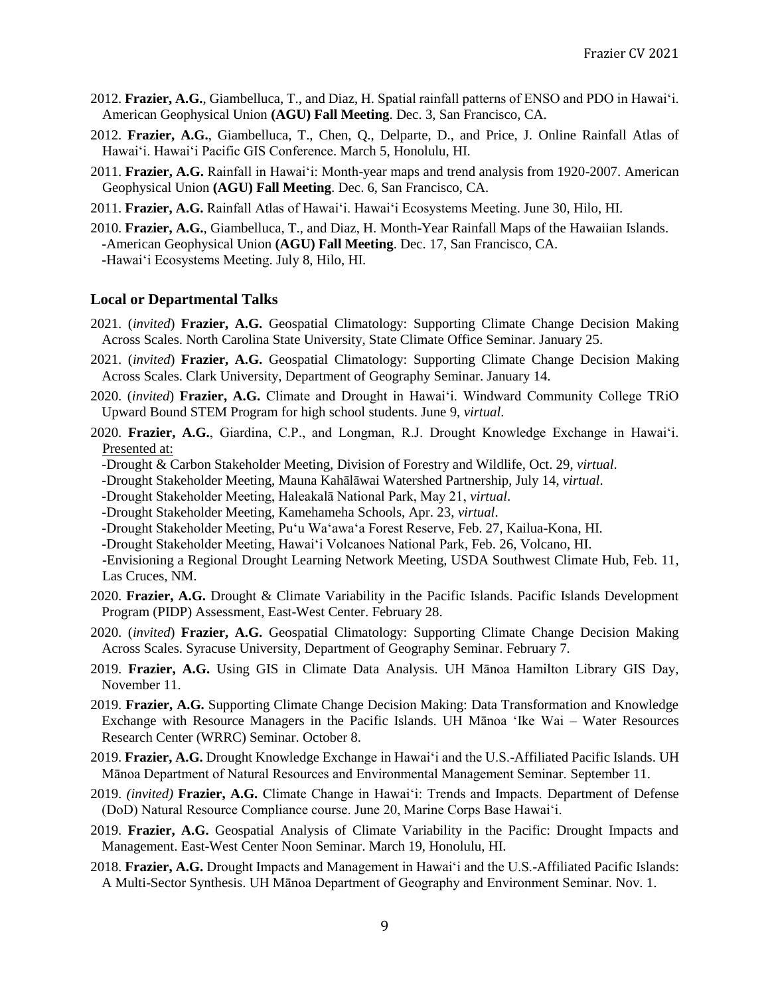- 2012. **Frazier, A.G.**, Giambelluca, T., and Diaz, H. Spatial rainfall patterns of ENSO and PDO in Hawai'i. American Geophysical Union **(AGU) Fall Meeting**. Dec. 3, San Francisco, CA.
- 2012. **Frazier, A.G.**, Giambelluca, T., Chen, Q., Delparte, D., and Price, J. Online Rainfall Atlas of Hawai'i. Hawai'i Pacific GIS Conference. March 5, Honolulu, HI.
- 2011. **Frazier, A.G.** Rainfall in Hawai'i: Month-year maps and trend analysis from 1920-2007. American Geophysical Union **(AGU) Fall Meeting**. Dec. 6, San Francisco, CA.
- 2011. **Frazier, A.G.** Rainfall Atlas of Hawai'i. Hawai'i Ecosystems Meeting. June 30, Hilo, HI.
- 2010. **Frazier, A.G.**, Giambelluca, T., and Diaz, H. Month-Year Rainfall Maps of the Hawaiian Islands. -American Geophysical Union **(AGU) Fall Meeting**. Dec. 17, San Francisco, CA. -Hawai'i Ecosystems Meeting. July 8, Hilo, HI.

#### **Local or Departmental Talks**

- 2021. (*invited*) **Frazier, A.G.** Geospatial Climatology: Supporting Climate Change Decision Making Across Scales. North Carolina State University, State Climate Office Seminar. January 25.
- 2021. (*invited*) **Frazier, A.G.** Geospatial Climatology: Supporting Climate Change Decision Making Across Scales. Clark University, Department of Geography Seminar. January 14.
- 2020. (*invited*) **Frazier, A.G.** Climate and Drought in Hawai'i. Windward Community College TRiO Upward Bound STEM Program for high school students. June 9, *virtual*.
- 2020. **Frazier, A.G.**, Giardina, C.P., and Longman, R.J. Drought Knowledge Exchange in Hawai'i. Presented at:
	- -Drought & Carbon Stakeholder Meeting, Division of Forestry and Wildlife, Oct. 29, *virtual*.
	- -Drought Stakeholder Meeting, Mauna Kahālāwai Watershed Partnership, July 14, *virtual*.
	- -Drought Stakeholder Meeting, Haleakalā National Park, May 21, *virtual*.
	- -Drought Stakeholder Meeting, Kamehameha Schools, Apr. 23, *virtual*.
	- -Drought Stakeholder Meeting, Pu'u Wa'awa'a Forest Reserve, Feb. 27, Kailua-Kona, HI.
	- -Drought Stakeholder Meeting, Hawai'i Volcanoes National Park, Feb. 26, Volcano, HI.

-Envisioning a Regional Drought Learning Network Meeting, USDA Southwest Climate Hub, Feb. 11, Las Cruces, NM.

- 2020. **Frazier, A.G.** Drought & Climate Variability in the Pacific Islands. Pacific Islands Development Program (PIDP) Assessment, East-West Center. February 28.
- 2020. (*invited*) **Frazier, A.G.** Geospatial Climatology: Supporting Climate Change Decision Making Across Scales. Syracuse University, Department of Geography Seminar. February 7.
- 2019. **Frazier, A.G.** Using GIS in Climate Data Analysis. UH Mānoa Hamilton Library GIS Day, November 11.
- 2019. **Frazier, A.G.** Supporting Climate Change Decision Making: Data Transformation and Knowledge Exchange with Resource Managers in the Pacific Islands. UH Mānoa 'Ike Wai – Water Resources Research Center (WRRC) Seminar. October 8.
- 2019. **Frazier, A.G.** Drought Knowledge Exchange in Hawai'i and the U.S.-Affiliated Pacific Islands. UH Mānoa Department of Natural Resources and Environmental Management Seminar. September 11.
- 2019. *(invited)* **Frazier, A.G.** Climate Change in Hawai'i: Trends and Impacts. Department of Defense (DoD) Natural Resource Compliance course. June 20, Marine Corps Base Hawai'i.
- 2019. **Frazier, A.G.** Geospatial Analysis of Climate Variability in the Pacific: Drought Impacts and Management. East-West Center Noon Seminar. March 19, Honolulu, HI.
- 2018. **Frazier, A.G.** Drought Impacts and Management in Hawai'i and the U.S.-Affiliated Pacific Islands: A Multi-Sector Synthesis. UH Mānoa Department of Geography and Environment Seminar. Nov. 1.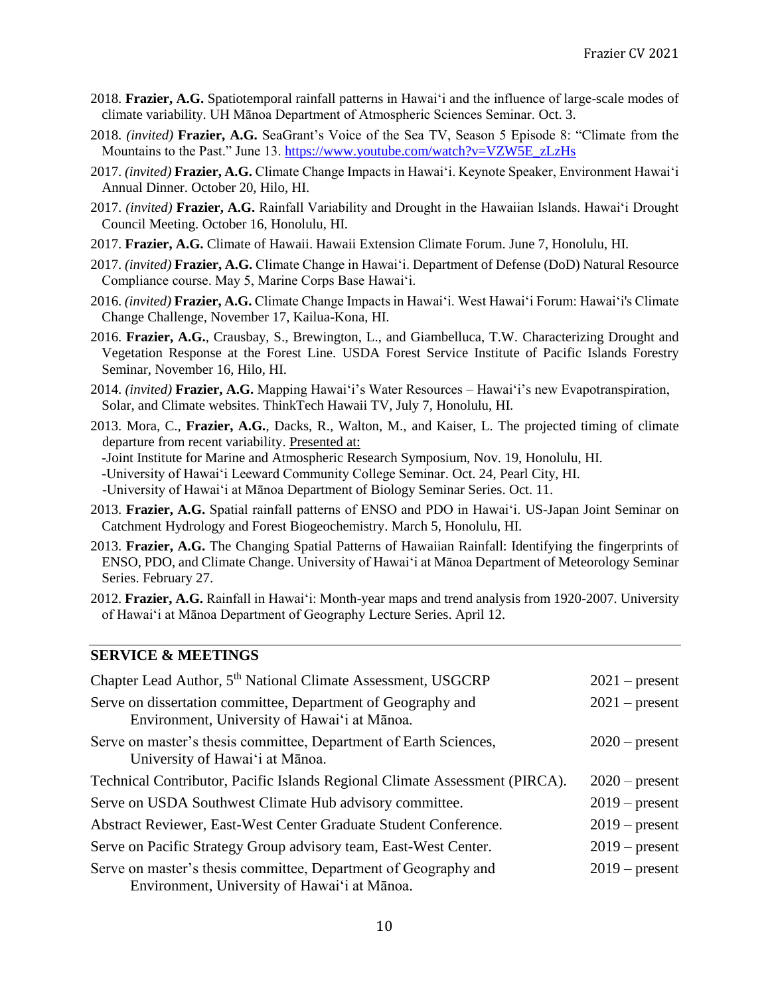- 2018. **Frazier, A.G.** Spatiotemporal rainfall patterns in Hawai'i and the influence of large-scale modes of climate variability. UH Mānoa Department of Atmospheric Sciences Seminar. Oct. 3.
- 2018. *(invited)* **Frazier, A.G.** SeaGrant's Voice of the Sea TV, Season 5 Episode 8: "Climate from the Mountains to the Past." June 13. [https://www.youtube.com/watch?v=VZW5E\\_zLzHs](https://www.youtube.com/watch?v=VZW5E_zLzHs)
- 2017. *(invited)* **Frazier, A.G.** Climate Change Impacts in Hawai'i. Keynote Speaker, Environment Hawai'i Annual Dinner. October 20, Hilo, HI.
- 2017. *(invited)* **Frazier, A.G.** Rainfall Variability and Drought in the Hawaiian Islands. Hawai'i Drought Council Meeting. October 16, Honolulu, HI.
- 2017. **Frazier, A.G.** Climate of Hawaii. Hawaii Extension Climate Forum. June 7, Honolulu, HI.
- 2017. *(invited)* **Frazier, A.G.** Climate Change in Hawai'i. Department of Defense (DoD) Natural Resource Compliance course. May 5, Marine Corps Base Hawai'i.
- 2016. *(invited)* **Frazier, A.G.** Climate Change Impacts in Hawai'i. West Hawai'i Forum: Hawai'i's Climate Change Challenge, November 17, Kailua-Kona, HI.
- 2016. **Frazier, A.G.**, Crausbay, S., Brewington, L., and Giambelluca, T.W. Characterizing Drought and Vegetation Response at the Forest Line. USDA Forest Service Institute of Pacific Islands Forestry Seminar, November 16, Hilo, HI.
- 2014. *(invited)* **Frazier, A.G.** Mapping Hawai'i's Water Resources Hawai'i's new Evapotranspiration, Solar, and Climate websites. ThinkTech Hawaii TV, July 7, Honolulu, HI.
- 2013. Mora, C., **Frazier, A.G.**, Dacks, R., Walton, M., and Kaiser, L. The projected timing of climate departure from recent variability. Presented at:
	- -Joint Institute for Marine and Atmospheric Research Symposium, Nov. 19, Honolulu, HI.
	- -University of Hawai'i Leeward Community College Seminar. Oct. 24, Pearl City, HI.
	- -University of Hawai'i at Mānoa Department of Biology Seminar Series. Oct. 11.
- 2013. **Frazier, A.G.** Spatial rainfall patterns of ENSO and PDO in Hawai'i. US-Japan Joint Seminar on Catchment Hydrology and Forest Biogeochemistry. March 5, Honolulu, HI.
- 2013. **Frazier, A.G.** The Changing Spatial Patterns of Hawaiian Rainfall: Identifying the fingerprints of ENSO, PDO, and Climate Change. University of Hawai'i at Mānoa Department of Meteorology Seminar Series. February 27.
- 2012. **Frazier, A.G.** Rainfall in Hawai'i: Month-year maps and trend analysis from 1920-2007. University of Hawai'i at Mānoa Department of Geography Lecture Series. April 12.

#### **SERVICE & MEETINGS**

| Chapter Lead Author, 5 <sup>th</sup> National Climate Assessment, USGCRP                                        | $2021$ – present |
|-----------------------------------------------------------------------------------------------------------------|------------------|
| Serve on dissertation committee, Department of Geography and<br>Environment, University of Hawai'i at Mānoa.    | $2021$ – present |
| Serve on master's thesis committee, Department of Earth Sciences,<br>University of Hawai'i at Mānoa.            | $2020$ – present |
| Technical Contributor, Pacific Islands Regional Climate Assessment (PIRCA).                                     | $2020$ – present |
| Serve on USDA Southwest Climate Hub advisory committee.                                                         | $2019$ – present |
| Abstract Reviewer, East-West Center Graduate Student Conference.                                                | $2019$ – present |
| Serve on Pacific Strategy Group advisory team, East-West Center.                                                | $2019$ – present |
| Serve on master's thesis committee, Department of Geography and<br>Environment, University of Hawai'i at Mānoa. | $2019$ – present |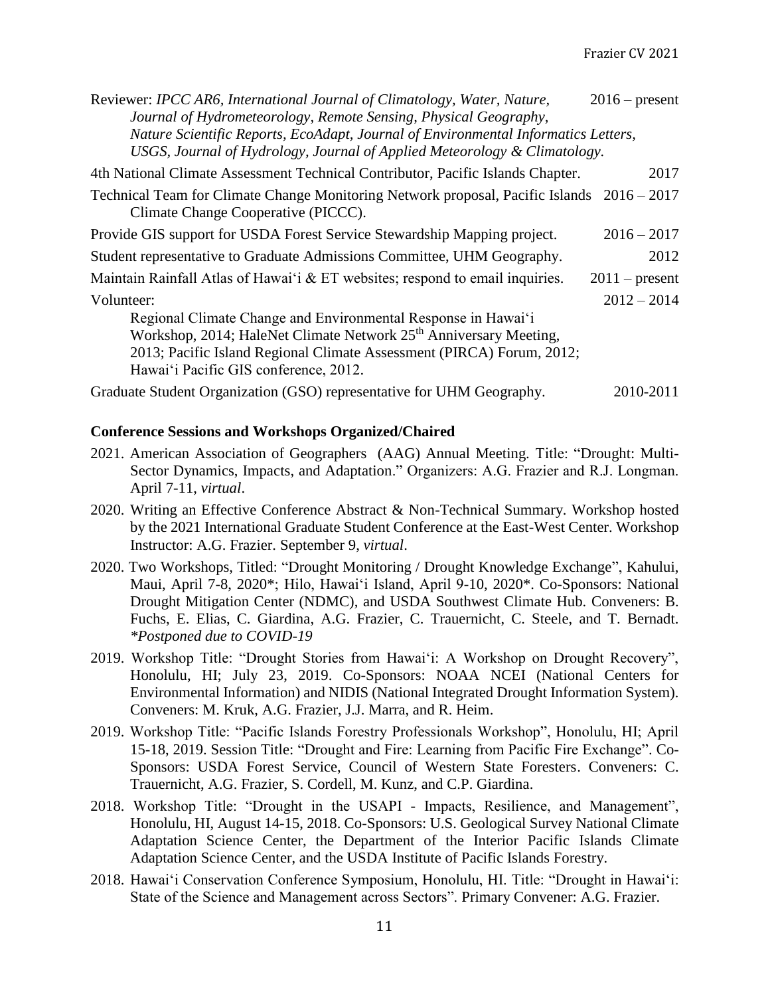| Reviewer: IPCC AR6, International Journal of Climatology, Water, Nature,                                                                                                                                                                                         | $2016$ – present |
|------------------------------------------------------------------------------------------------------------------------------------------------------------------------------------------------------------------------------------------------------------------|------------------|
| Journal of Hydrometeorology, Remote Sensing, Physical Geography,<br>Nature Scientific Reports, EcoAdapt, Journal of Environmental Informatics Letters,<br>USGS, Journal of Hydrology, Journal of Applied Meteorology & Climatology.                              |                  |
| 4th National Climate Assessment Technical Contributor, Pacific Islands Chapter.                                                                                                                                                                                  | 2017             |
| Technical Team for Climate Change Monitoring Network proposal, Pacific Islands 2016 – 2017<br>Climate Change Cooperative (PICCC).                                                                                                                                |                  |
| Provide GIS support for USDA Forest Service Stewardship Mapping project.                                                                                                                                                                                         | $2016 - 2017$    |
| Student representative to Graduate Admissions Committee, UHM Geography.                                                                                                                                                                                          | 2012             |
| Maintain Rainfall Atlas of Hawai'i $& E T$ websites; respond to email inquiries.                                                                                                                                                                                 | $2011$ – present |
| Volunteer:                                                                                                                                                                                                                                                       | $2012 - 2014$    |
| Regional Climate Change and Environmental Response in Hawai'i<br>Workshop, 2014; HaleNet Climate Network 25 <sup>th</sup> Anniversary Meeting,<br>2013; Pacific Island Regional Climate Assessment (PIRCA) Forum, 2012;<br>Hawai'i Pacific GIS conference, 2012. |                  |
| Graduate Student Organization (GSO) representative for UHM Geography.                                                                                                                                                                                            | 2010-2011        |

## **Conference Sessions and Workshops Organized/Chaired**

- 2021. American Association of Geographers (AAG) Annual Meeting. Title: "Drought: Multi-Sector Dynamics, Impacts, and Adaptation." Organizers: A.G. Frazier and R.J. Longman. April 7-11, *virtual*.
- 2020. Writing an Effective Conference Abstract & Non-Technical Summary. Workshop hosted by the 2021 International Graduate Student Conference at the East-West Center. Workshop Instructor: A.G. Frazier. September 9, *virtual*.
- 2020. Two Workshops, Titled: "Drought Monitoring / Drought Knowledge Exchange", Kahului, Maui, April 7-8, 2020\*; Hilo, Hawai'i Island, April 9-10, 2020\*. Co-Sponsors: National Drought Mitigation Center (NDMC), and USDA Southwest Climate Hub. Conveners: B. Fuchs, E. Elias, C. Giardina, A.G. Frazier, C. Trauernicht, C. Steele, and T. Bernadt. *\*Postponed due to COVID-19*
- 2019. Workshop Title: "Drought Stories from Hawai'i: A Workshop on Drought Recovery", Honolulu, HI; July 23, 2019. Co-Sponsors: NOAA NCEI (National Centers for Environmental Information) and NIDIS (National Integrated Drought Information System). Conveners: M. Kruk, A.G. Frazier, J.J. Marra, and R. Heim.
- 2019. Workshop Title: "Pacific Islands Forestry Professionals Workshop", Honolulu, HI; April 15-18, 2019. Session Title: "Drought and Fire: Learning from Pacific Fire Exchange". Co-Sponsors: USDA Forest Service, Council of Western State Foresters. Conveners: C. Trauernicht, A.G. Frazier, S. Cordell, M. Kunz, and C.P. Giardina.
- 2018. Workshop Title: "Drought in the USAPI Impacts, Resilience, and Management", Honolulu, HI, August 14-15, 2018. Co-Sponsors: U.S. Geological Survey National Climate Adaptation Science Center, the Department of the Interior Pacific Islands Climate Adaptation Science Center, and the USDA Institute of Pacific Islands Forestry.
- 2018. Hawai'i Conservation Conference Symposium, Honolulu, HI. Title: "Drought in Hawai'i: State of the Science and Management across Sectors". Primary Convener: A.G. Frazier.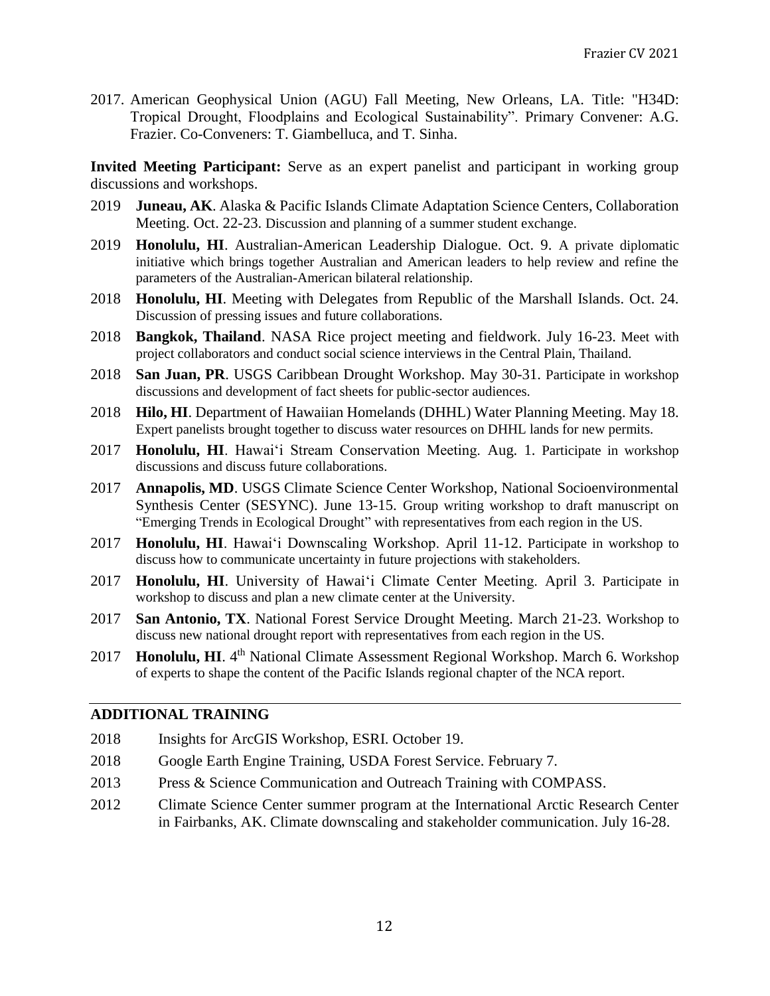2017. American Geophysical Union (AGU) Fall Meeting, New Orleans, LA. Title: "H34D: Tropical Drought, Floodplains and Ecological Sustainability". Primary Convener: A.G. Frazier. Co-Conveners: T. Giambelluca, and T. Sinha.

**Invited Meeting Participant:** Serve as an expert panelist and participant in working group discussions and workshops.

- 2019 **Juneau, AK**. Alaska & Pacific Islands Climate Adaptation Science Centers, Collaboration Meeting. Oct. 22-23. Discussion and planning of a summer student exchange.
- 2019 **Honolulu, HI**. Australian-American Leadership Dialogue. Oct. 9. A private diplomatic initiative which brings together Australian and American leaders to help review and refine the parameters of the Australian-American bilateral relationship.
- 2018 **Honolulu, HI**. Meeting with Delegates from Republic of the Marshall Islands. Oct. 24. Discussion of pressing issues and future collaborations.
- 2018 **Bangkok, Thailand**. NASA Rice project meeting and fieldwork. July 16-23. Meet with project collaborators and conduct social science interviews in the Central Plain, Thailand.
- 2018 **San Juan, PR**. USGS Caribbean Drought Workshop. May 30-31. Participate in workshop discussions and development of fact sheets for public-sector audiences.
- 2018 **Hilo, HI**. Department of Hawaiian Homelands (DHHL) Water Planning Meeting. May 18. Expert panelists brought together to discuss water resources on DHHL lands for new permits.
- 2017 **Honolulu, HI**. Hawai'i Stream Conservation Meeting. Aug. 1. Participate in workshop discussions and discuss future collaborations.
- 2017 **Annapolis, MD**. USGS Climate Science Center Workshop, National Socioenvironmental Synthesis Center (SESYNC). June 13-15. Group writing workshop to draft manuscript on "Emerging Trends in Ecological Drought" with representatives from each region in the US.
- 2017 **Honolulu, HI**. Hawai'i Downscaling Workshop. April 11-12. Participate in workshop to discuss how to communicate uncertainty in future projections with stakeholders.
- 2017 **Honolulu, HI**. University of Hawai'i Climate Center Meeting. April 3. Participate in workshop to discuss and plan a new climate center at the University.
- 2017 **San Antonio, TX**. National Forest Service Drought Meeting. March 21-23. Workshop to discuss new national drought report with representatives from each region in the US.
- 2017 **Honolulu, HI**. 4<sup>th</sup> National Climate Assessment Regional Workshop. March 6. Workshop of experts to shape the content of the Pacific Islands regional chapter of the NCA report.

## **ADDITIONAL TRAINING**

- 2018 Insights for ArcGIS Workshop, ESRI. October 19.
- 2018 Google Earth Engine Training, USDA Forest Service. February 7.
- 2013 Press & Science Communication and Outreach Training with COMPASS.
- 2012 Climate Science Center summer program at the International Arctic Research Center in Fairbanks, AK. Climate downscaling and stakeholder communication. July 16-28.